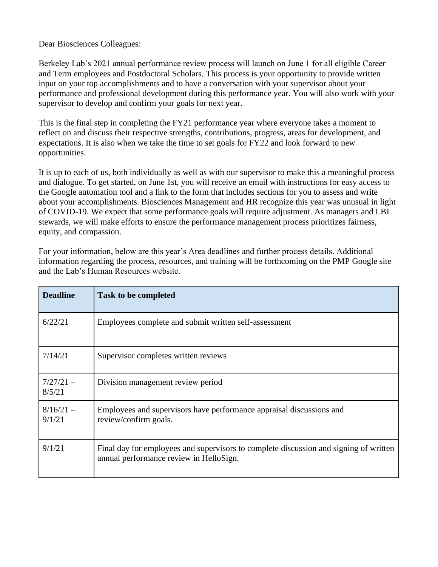Dear Biosciences Colleagues:

Berkeley Lab's 2021 annual performance review process will launch on June 1 for all eligible Career and Term employees and Postdoctoral Scholars. This process is your opportunity to provide written input on your top accomplishments and to have a conversation with your supervisor about your performance and professional development during this performance year. You will also work with your supervisor to develop and confirm your goals for next year.

This is the final step in completing the FY21 performance year where everyone takes a moment to reflect on and discuss their respective strengths, contributions, progress, areas for development, and expectations. It is also when we take the time to set goals for FY22 and look forward to new opportunities.

It is up to each of us, both individually as well as with our supervisor to make this a meaningful process and dialogue. To get started, on June 1st, you will receive an email with instructions for easy access to the Google automation tool and a link to the form that includes sections for you to assess and write about your accomplishments. Biosciences Management and HR recognize this year was unusual in light of COVID-19. We expect that some performance goals will require adjustment. As managers and LBL stewards, we will make efforts to ensure the performance management process prioritizes fairness, equity, and compassion.

| <b>Deadline</b>       | <b>Task to be completed</b>                                                                                                      |
|-----------------------|----------------------------------------------------------------------------------------------------------------------------------|
| 6/22/21               | Employees complete and submit written self-assessment                                                                            |
| 7/14/21               | Supervisor completes written reviews                                                                                             |
| $7/27/21 -$<br>8/5/21 | Division management review period                                                                                                |
| $8/16/21 -$<br>9/1/21 | Employees and supervisors have performance appraisal discussions and<br>review/confirm goals.                                    |
| 9/1/21                | Final day for employees and supervisors to complete discussion and signing of written<br>annual performance review in HelloSign. |

For your information, below are this year's Area deadlines and further process details. Additional information regarding the process, resources, and training will be forthcoming on the PMP Google site and the Lab's Human Resources website.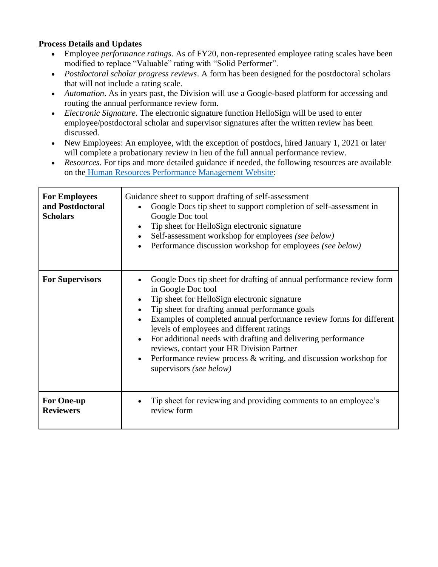## **Process Details and Updates**

- Employee *performance ratings*. As of FY20, non-represented employee rating scales have been modified to replace "Valuable" rating with "Solid Performer".
- *Postdoctoral scholar progress reviews*. A form has been designed for the postdoctoral scholars that will not include a rating scale.
- *Automation*. As in years past, the Division will use a Google-based platform for accessing and routing the annual performance review form.
- *Electronic Signature*. The electronic signature function HelloSign will be used to enter employee/postdoctoral scholar and supervisor signatures after the written review has been discussed.
- New Employees: An employee, with the exception of postdocs, hired January 1, 2021 or later will complete a probationary review in lieu of the full annual performance review.
- *Resources.* For tips and more detailed guidance if needed, the following resources are available on the [Human Resources Performance Management Website:](https://sites.google.com/lbl.gov/performance-management/home)

| <b>For Employees</b><br>and Postdoctoral<br><b>Scholars</b> | Guidance sheet to support drafting of self-assessment<br>Google Docs tip sheet to support completion of self-assessment in<br>Google Doc tool<br>Tip sheet for HelloSign electronic signature<br>Self-assessment workshop for employees (see below)<br>Performance discussion workshop for employees (see below)                                                                                                                                                                                                                                |
|-------------------------------------------------------------|-------------------------------------------------------------------------------------------------------------------------------------------------------------------------------------------------------------------------------------------------------------------------------------------------------------------------------------------------------------------------------------------------------------------------------------------------------------------------------------------------------------------------------------------------|
| <b>For Supervisors</b>                                      | Google Docs tip sheet for drafting of annual performance review form<br>in Google Doc tool<br>Tip sheet for HelloSign electronic signature<br>Tip sheet for drafting annual performance goals<br>$\bullet$<br>Examples of completed annual performance review forms for different<br>levels of employees and different ratings<br>For additional needs with drafting and delivering performance<br>reviews, contact your HR Division Partner<br>Performance review process $\&$ writing, and discussion workshop for<br>supervisors (see below) |
| <b>For One-up</b><br><b>Reviewers</b>                       | Tip sheet for reviewing and providing comments to an employee's<br>review form                                                                                                                                                                                                                                                                                                                                                                                                                                                                  |